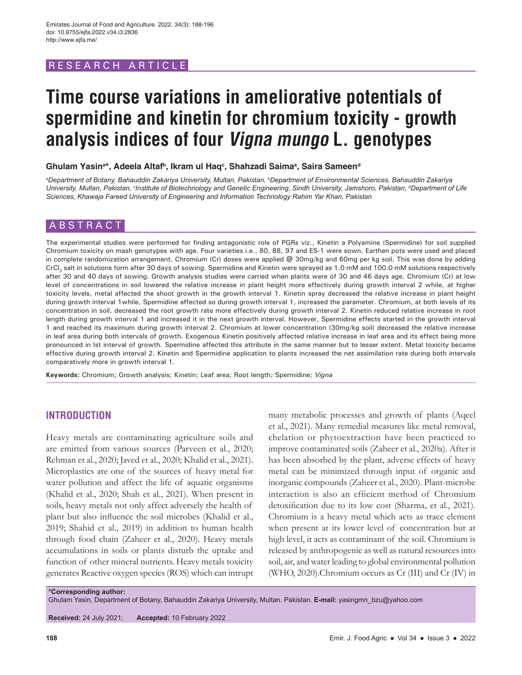# RESEARCH ARTICLE

# **Time course variations in ameliorative potentials of spermidine and kinetin for chromium toxicity - growth analysis indices of four Vigna mungo L. genotypes**

**Ghulam Yasina \*, Adeela Altafb, Ikram ul Haqc , Shahzadi Saimaa , Saira Sameend**

*a Department of Botany, Bahauddin Zakariya University, Multan, Pakistan, b Department of Environmental Sciences, Bahauddin Zakariya*  University, Multan, Pakistan, <sup>c</sup>Institute of Biotechnology and Genetic Engineering, Sindh University, Jamshoro, Pakistan, <sup>a</sup>Department of Life *Sciences, Khawaja Fareed University of Engineering and Information Technology Rahim Yar Khan, Pakistan*

# ABSTRACT

The experimental studies were performed for finding antagonistic role of PGRs viz., Kinetin a Polyamine (Spermidine) for soil supplied Chromium toxicity on mash genotypes with age. Four varieties i.e., 80, 88, 97 and ES-1 were sown. Earthen pots were used and placed in complete randomization arrangement. Chromium (Cr) doses were applied @ 30mg/kg and 60mg per kg soil. This was done by adding CrCl<sub>3</sub> salt in solutions form after 30 days of sowing. Spermidine and Kinetin were sprayed as 1.0 mM and 100.0 mM solutions respectively after 30 and 40 days of sowing. Growth analysis studies were carried when plants were of 30 and 46 days age. Chromium (Cr) at low level of concentrations in soil lowered the relative increase in plant height more effectively during growth interval 2 while, at higher toxicity levels, metal affected the shoot growth in the growth interval 1. Kinetin spray decreased the relative increase in plant height during growth interval 1while, Spermidine affected so during growth interval 1, increased the parameter. Chromium, at both levels of its concentration in soil, decreased the root growth rate more effectively during growth interval 2. Kinetin reduced relative increase in root length during growth interval 1 and increased it in the next growth interval. However, Spermidine effects started in the growth interval 1 and reached its maximum during growth interval 2. Chromium at lower concentration (30mg/kg soil) decreased the relative increase in leaf area during both intervals of growth. Exogenous Kinetin positively affected relative increase in leaf area and its effect being more pronounced in Ist interval of growth. Spermidine affected this attribute in the same manner but to lesser extent. Metal toxicity became effective during growth interval 2. Kinetin and Spermidine application to plants increased the net assimilation rate during both intervals comparatively more in growth interval 1.

**Keywords:** Chromium; Growth analysis; Kinetin; Leaf area; Root length; Spermidine; *Vigna*

# **INTRODUCTION**

Heavy metals are contaminating agriculture soils and are emitted from various sources (Parveen et al., 2020; Rehman et al., 2020; Javed et al., 2020; Khalid et al., 2021). Microplastics are one of the sources of heavy metal for water pollution and affect the life of aquatic organisms (Khalid et al., 2020; Shah et al., 2021). When present in soils, heavy metals not only affect adversely the health of plant but also influence the soil microbes (Khalid et al., 2019; Shahid et al., 2019) in addition to human health through food chain (Zaheer et al., 2020). Heavy metals accumulations in soils or plants disturb the uptake and function of other mineral nutrients. Heavy metals toxicity generates Reactive oxygen species (ROS) which can intrupt

many metabolic processes and growth of plants (Aqeel et al., 2021). Many remedial measures like metal removal, chelation or phytoextraction have been practiced to improve contaminated soils (Zaheer et al., 2020a). After it has been absorbed by the plant, adverse effects of heavy metal can be minimized through input of organic and inorganic compounds (Zaheer et al., 2020). Plant-microbe interaction is also an efficient method of Chromium detoxification due to its low cost (Sharma, et al., 2021). Chromium is a heavy metal which acts as trace element when present at its lower level of concentration but at high level, it acts as contaminant of the soil. Chromium is released by anthropogenic as well as natural resources into soil, air, and water leading to global environmental pollution (WHO, 2020).Chromium occurs as Cr (III) and Cr (IV) in

**\*Corresponding author:**

Ghulam Yasin, Department of Botany, Bahauddin Zakariya University, Multan. Pakistan. **E-mail:** yasingmn\_bzu@yahoo.com

**Received:** 24 July 2021; **Accepted:** 10 February 2022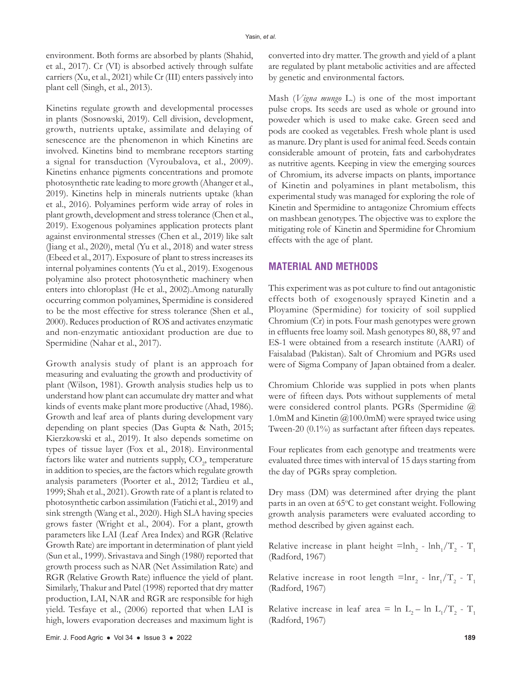environment. Both forms are absorbed by plants (Shahid, et al., 2017). Cr (VI) is absorbed actively through sulfate carriers (Xu, et al., 2021) while Cr (III) enters passively into plant cell (Singh, et al., 2013).

Kinetins regulate growth and developmental processes in plants (Sosnowski, 2019). Cell division, development, growth, nutrients uptake, assimilate and delaying of senescence are the phenomenon in which Kinetins are involved. Kinetins bind to membrane receptors starting a signal for transduction (Vyroubalova, et al., 2009). Kinetins enhance pigments concentrations and promote photosynthetic rate leading to more growth (Ahanger et al., 2019). Kinetins help in minerals nutrients uptake (khan et al., 2016). Polyamines perform wide array of roles in plant growth, development and stress tolerance (Chen et al., 2019). Exogenous polyamines application protects plant against environmental stresses (Chen et al., 2019) like salt (Jiang et al., 2020), metal (Yu et al., 2018) and water stress (Ebeed et al., 2017). Exposure of plant to stress increases its internal polyamines contents (Yu et al., 2019). Exogenous polyamine also protect photosynthetic machinery when enters into chloroplast (He et al., 2002).Among naturally occurring common polyamines, Spermidine is considered to be the most effective for stress tolerance (Shen et al., 2000). Reduces production of ROS and activates enzymatic and non-enzymatic antioxidant production are due to Spermidine (Nahar et al., 2017).

Growth analysis study of plant is an approach for measuring and evaluating the growth and productivity of plant (Wilson, 1981). Growth analysis studies help us to understand how plant can accumulate dry matter and what kinds of events make plant more productive (Ahad, 1986). Growth and leaf area of plants during development vary depending on plant species (Das Gupta & Nath, 2015; Kierzkowski et al., 2019). It also depends sometime on types of tissue layer (Fox et al., 2018). Environmental factors like water and nutrients supply,  $\mathrm{CO}_2$ , temperature in addition to species, are the factors which regulate growth analysis parameters (Poorter et al., 2012; Tardieu et al., 1999; Shah et al., 2021). Growth rate of a plant is related to photosynthetic carbon assimilation (Fatichi et al., 2019) and sink strength (Wang et al., 2020). High SLA having species grows faster (Wright et al., 2004). For a plant, growth parameters like LAI (Leaf Area Index) and RGR (Relative Growth Rate) are important in determination of plant yield (Sun et al., 1999). Srivastava and Singh (1980) reported that growth process such as NAR (Net Assimilation Rate) and RGR (Relative Growth Rate) influence the yield of plant. Similarly, Thakur and Patel (1998) reported that dry matter production, LAI, NAR and RGR are responsible for high yield. Tesfaye et al., (2006) reported that when LAI is high, lowers evaporation decreases and maximum light is

converted into dry matter. The growth and yield of a plant are regulated by plant metabolic activities and are affected by genetic and environmental factors.

Mash (*Vigna mungo* L.) is one of the most important pulse crops. Its seeds are used as whole or ground into poweder which is used to make cake. Green seed and pods are cooked as vegetables. Fresh whole plant is used as manure. Dry plant is used for animal feed. Seeds contain considerable amount of protein, fats and carbohydrates as nutritive agents. Keeping in view the emerging sources of Chromium, its adverse impacts on plants, importance of Kinetin and polyamines in plant metabolism, this experimental study was managed for exploring the role of Kinetin and Spermidine to antagonize Chromium effects on mashbean genotypes. The objective was to explore the mitigating role of Kinetin and Spermidine for Chromium effects with the age of plant.

# **MATERIAL AND METHODS**

This experiment was as pot culture to find out antagonistic effects both of exogenously sprayed Kinetin and a Ployamine (Spermidine) for toxicity of soil supplied Chromium (Cr) in pots. Four mash genotypes were grown in effluents free loamy soil. Mash genotypes 80, 88, 97 and ES-1 were obtained from a research institute (AARI) of Faisalabad (Pakistan). Salt of Chromium and PGRs used were of Sigma Company of Japan obtained from a dealer.

Chromium Chloride was supplied in pots when plants were of fifteen days. Pots without supplements of metal were considered control plants. PGRs (Spermidine @ 1.0mM and Kinetin @100.0mM) were sprayed twice using Tween-20 (0.1%) as surfactant after fifteen days repeates.

Four replicates from each genotype and treatments were evaluated three times with interval of 15 days starting from the day of PGRs spray completion.

Dry mass (DM) was determined after drying the plant parts in an oven at 65°C to get constant weight. Following growth analysis parameters were evaluated according to method described by given against each.

Relative increase in plant height  $=$ Inh<sub>2</sub> - lnh<sub>1</sub>/T<sub>2</sub> - T<sub>1</sub> (Radford, 1967)

Relative increase in root length  $=$ lnr<sub>2</sub> - lnr<sub>1</sub>/T<sub>2</sub> - T<sub>1</sub> (Radford, 1967)

Relative increase in leaf area =  $\ln L_2 - \ln L_1/T_2 - T_1$ (Radford, 1967)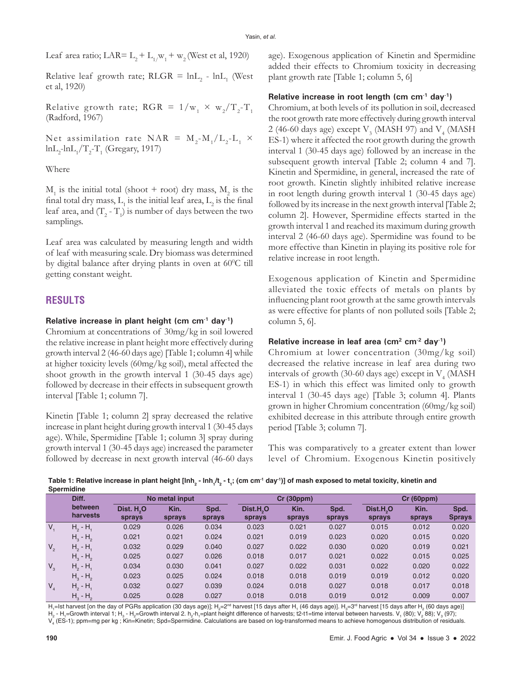Leaf area ratio; LAR=  $L_2 + L_{1}/w_1 + w_2$  (West et al, 1920)

Relative leaf growth rate;  $RLGR = lnL<sub>2</sub> - lnL<sub>1</sub>$  (West et al, 1920)

Relative growth rate;  $RGR = 1/w_1 \times w_2/T_2 - T_1$ (Radford, 1967)

Net assimilation rate NAR =  $M_2-M_1/L_2-L_1 \times$  $ln L_2$ - $ln L_1/T_2$ - $T_1$  (Gregary, 1917)

## Where

 $M_1$  is the initial total (shoot + root) dry mass,  $M_2$  is the final total dry mass,  $L_i$  is the initial leaf area,  $L_2$  is the final leaf area, and  $(T_2 - T_1)$  is number of days between the two samplings.

Leaf area was calculated by measuring length and width of leaf with measuring scale. Dry biomass was determined by digital balance after drying plants in oven at 60°C till getting constant weight.

# **RESULTS**

## **Relative increase in plant height (cm cm-1 day-1)**

Chromium at concentrations of 30mg/kg in soil lowered the relative increase in plant height more effectively during growth interval 2 (46-60 days age) [Table 1; column 4] while at higher toxicity levels (60mg/kg soil), metal affected the shoot growth in the growth interval 1 (30-45 days age) followed by decrease in their effects in subsequent growth interval [Table 1; column 7].

Kinetin [Table 1; column 2] spray decreased the relative increase in plant height during growth interval 1 (30-45 days age). While, Spermidine [Table 1; column 3] spray during growth interval 1 (30-45 days age) increased the parameter followed by decrease in next growth interval (46-60 days age). Exogenous application of Kinetin and Spermidine added their effects to Chromium toxicity in decreasing plant growth rate [Table 1; column 5, 6]

## **Relative increase in root length (cm cm-1 day-1)**

Chromium, at both levels of its pollution in soil, decreased the root growth rate more effectively during growth interval 2 (46-60 days age) except  $\rm V_{3}$  (MASH 97) and  $\rm V_{4}$  (MASH ES-1) where it affected the root growth during the growth interval 1 (30-45 days age) followed by an increase in the subsequent growth interval [Table 2; column 4 and 7]. Kinetin and Spermidine, in general, increased the rate of root growth. Kinetin slightly inhibited relative increase in root length during growth interval 1 (30-45 days age) followed by its increase in the next growth interval [Table 2; column 2]. However, Spermidine effects started in the growth interval 1 and reached its maximum during growth interval 2 (46-60 days age). Spermidine was found to be more effective than Kinetin in playing its positive role for relative increase in root length.

Exogenous application of Kinetin and Spermidine alleviated the toxic effects of metals on plants by influencing plant root growth at the same growth intervals as were effective for plants of non polluted soils [Table 2; column 5, 6].

## **Relative increase in leaf area (cm2 cm-2 day-1)**

Chromium at lower concentration (30mg/kg soil) decreased the relative increase in leaf area during two intervals of growth (30-60 days age) except in  $\rm V^{}_4$  (MASH ES-1) in which this effect was limited only to growth interval 1 (30-45 days age) [Table 3; column 4]. Plants grown in higher Chromium concentration (60mg/kg soil) exhibited decrease in this attribute through entire growth period [Table 3; column 7].

This was comparatively to a greater extent than lower level of Chromium. Exogenous Kinetin positively

Table 1: Relative increase in plant height [Inh<sub>2</sub> - Inh<sub>1</sub>/t<sub>2</sub> - t<sub>1</sub>; (cm cm<sup>-1</sup> day<sup>-1</sup>)] of mash exposed to metal toxicity, kinetin and **Spermidine**

|         | Diff.               | No metal input                   |                |                |                                 | Cr(30ppm)      |                |                                 | <b>Cr (60ppm)</b> |                       |  |
|---------|---------------------|----------------------------------|----------------|----------------|---------------------------------|----------------|----------------|---------------------------------|-------------------|-----------------------|--|
|         | between<br>harvests | Dist. H <sub>2</sub> O<br>sprays | Kin.<br>sprays | Spd.<br>sprays | Dist.H <sub>2</sub> O<br>sprays | Kin.<br>sprays | Spd.<br>sprays | Dist.H <sub>2</sub> O<br>sprays | Kin.<br>sprays    | Spd.<br><b>Sprays</b> |  |
| $V_{1}$ | $H_2 - H_1$         | 0.029                            | 0.026          | 0.034          | 0.023                           | 0.021          | 0.027          | 0.015                           | 0.012             | 0.020                 |  |
|         | $H_3 - H_2$         | 0.021                            | 0.021          | 0.024          | 0.021                           | 0.019          | 0.023          | 0.020                           | 0.015             | 0.020                 |  |
| $V_{2}$ | $H_2 - H_1$         | 0.032                            | 0.029          | 0.040          | 0.027                           | 0.022          | 0.030          | 0.020                           | 0.019             | 0.021                 |  |
|         | $H_3 - H_2$         | 0.025                            | 0.027          | 0.026          | 0.018                           | 0.017          | 0.021          | 0.022                           | 0.015             | 0.025                 |  |
| $V_{3}$ | $H_2 - H_1$         | 0.034                            | 0.030          | 0.041          | 0.027                           | 0.022          | 0.031          | 0.022                           | 0.020             | 0.022                 |  |
|         | $H_3 - H_2$         | 0.023                            | 0.025          | 0.024          | 0.018                           | 0.018          | 0.019          | 0.019                           | 0.012             | 0.020                 |  |
| $V_{4}$ | $H_2 - H_1$         | 0.032                            | 0.027          | 0.039          | 0.024                           | 0.018          | 0.027          | 0.018                           | 0.017             | 0.018                 |  |
|         | $H_3 - H_2$         | 0.025                            | 0.028          | 0.027          | 0.018                           | 0.018          | 0.019          | 0.012                           | 0.009             | 0.007                 |  |

H,=lst harvest [on the day of PGRs application (30 days age)]; H $_2$ =2nd harvest [15 days after H, (46 days age)]. H $_3$ =3nd harvest [15 days after H $_2$  (60 days age)] H<sub>2</sub> - H<sub>1</sub>=Growth interval 1; H<sub>3</sub> - H<sub>2</sub>=Growth interval 2. h<sub>2</sub>-h<sub>1</sub>=plant height difference of harvests; t2-t1=time interval between harvests. V<sub>1</sub> (80); V<sub>2</sub> 88); V<sub>3</sub> (97); V<sub>4</sub> (ES-1); ppm=mg per kg ; Kin=Kinetin; Spd=Spermidine. Calculations are based on log-transformed means to achieve homogenous distribution of residuals.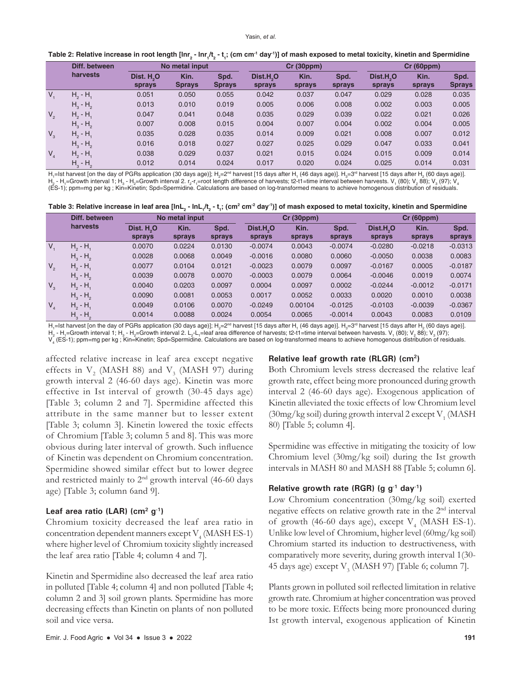| Table 2: Relative increase in root length [Inr <sub>2</sub> - Inr <sub>1</sub> /t <sub>2</sub> - t <sub>1</sub> ; (cm cm <sup>-1</sup> day <sup>-1</sup> )] of mash exposed to metal toxicity, kinetin and Spermidine |  |  |  |
|-----------------------------------------------------------------------------------------------------------------------------------------------------------------------------------------------------------------------|--|--|--|
|-----------------------------------------------------------------------------------------------------------------------------------------------------------------------------------------------------------------------|--|--|--|

|             | Diff. between | No metal input                   |                       |                       | <b>Cr (30ppm)</b>               |                |                | Cr(60ppm)                       |                |                       |
|-------------|---------------|----------------------------------|-----------------------|-----------------------|---------------------------------|----------------|----------------|---------------------------------|----------------|-----------------------|
|             | harvests      | Dist. H <sub>2</sub> O<br>sprays | Kin.<br><b>Sprays</b> | Spd.<br><b>Sprays</b> | Dist.H <sub>2</sub> O<br>sprays | Kin.<br>sprays | Spd.<br>sprays | Dist.H <sub>2</sub> O<br>sprays | Kin.<br>sprays | Spd.<br><b>Sprays</b> |
| $V_{4}$     | $H_2 - H_1$   | 0.051                            | 0.050                 | 0.055                 | 0.042                           | 0.037          | 0.047          | 0.029                           | 0.028          | 0.035                 |
|             | $H_3 - H_2$   | 0.013                            | 0.010                 | 0.019                 | 0.005                           | 0.006          | 0.008          | 0.002                           | 0.003          | 0.005                 |
| $V_{2}$     | $H_2 - H_1$   | 0.047                            | 0.041                 | 0.048                 | 0.035                           | 0.029          | 0.039          | 0.022                           | 0.021          | 0.026                 |
|             | $H_3 - H_2$   | 0.007                            | 0.008                 | 0.015                 | 0.004                           | 0.007          | 0.004          | 0.002                           | 0.004          | 0.005                 |
| $V_{3}$     | $H_2 - H_1$   | 0.035                            | 0.028                 | 0.035                 | 0.014                           | 0.009          | 0.021          | 0.008                           | 0.007          | 0.012                 |
|             | $H_2 - H_2$   | 0.016                            | 0.018                 | 0.027                 | 0.027                           | 0.025          | 0.029          | 0.047                           | 0.033          | 0.041                 |
| $V_{\rm A}$ | $H_2 - H_1$   | 0.038                            | 0.029                 | 0.037                 | 0.021                           | 0.015          | 0.024          | 0.015                           | 0.009          | 0.014                 |
|             | $H_3 - H_2$   | 0.012                            | 0.014                 | 0.024                 | 0.017                           | 0.020          | 0.024          | 0.025                           | 0.014          | 0.031                 |

H,=lst harvest [on the day of PGRs application (30 days age)]; H<sub>2</sub>=2<sup>nd</sup> harvest [15 days after H, (46 days age)]. H<sub>3</sub>=3<sup>nd</sup> harvest [15 days after H<sub>2</sub> (60 days age)]. H $_2$  - H $_4$ =Growth interval 1; H $_3$  - H $_2$ =Growth interval 2. r $_2$ -r $_4$ =root length difference of harvests; t2-t1=time interval between harvests. V $_4$  (80); V $_2$  88); V $_3$  (97); V $_4$ (ES-1); ppm=mg per kg ; Kin=Kinetin; Spd=Spermidine. Calculations are based on log-transformed means to achieve homogenous distribution of residuals.

|  |  |  | Table 3: Relative increase in leaf area [lnL <sub>2</sub> - lnL <sub>1</sub> /t <sub>2</sub> - t <sub>1</sub> ; (cm <sup>2</sup> cm <sup>2</sup> day <sup>-1</sup> )] of mash exposed to metal toxicity, kinetin and Spermidine |
|--|--|--|---------------------------------------------------------------------------------------------------------------------------------------------------------------------------------------------------------------------------------|
|--|--|--|---------------------------------------------------------------------------------------------------------------------------------------------------------------------------------------------------------------------------------|

|         | Diff. between | No metal input         |        |        | Cr(30ppm)             |         |           | <b>Cr (60ppm)</b>     |           |           |
|---------|---------------|------------------------|--------|--------|-----------------------|---------|-----------|-----------------------|-----------|-----------|
|         | harvests      | Dist. H <sub>2</sub> O | Kin.   | Spd.   | Dist.H <sub>2</sub> O | Kin.    | Spd.      | Dist.H <sub>2</sub> O | Kin.      | Spd.      |
|         |               | sprays                 | sprays | sprays | sprays                | sprays  | sprays    | sprays                | sprays    | sprays    |
| $V_{1}$ | $H_2 - H_1$   | 0.0070                 | 0.0224 | 0.0130 | $-0.0074$             | 0.0043  | $-0.0074$ | $-0.0280$             | $-0.0218$ | $-0.0313$ |
|         | $H3 - H2$     | 0.0028                 | 0.0068 | 0.0049 | $-0.0016$             | 0.0080  | 0.0060    | $-0.0050$             | 0.0038    | 0.0083    |
| $V_{2}$ | $H_2 - H_1$   | 0.0077                 | 0.0104 | 0.0121 | $-0.0023$             | 0.0079  | 0.0097    | $-0.0167$             | 0.0005    | $-0.0187$ |
|         | $H3 - H2$     | 0.0039                 | 0.0078 | 0.0070 | $-0.0003$             | 0.0079  | 0.0064    | $-0.0046$             | 0.0019    | 0.0074    |
| $V_{3}$ | $H_2 - H_1$   | 0.0040                 | 0.0203 | 0.0097 | 0.0004                | 0.0097  | 0.0002    | $-0.0244$             | $-0.0012$ | $-0.0171$ |
|         | $H_3 - H_2$   | 0.0090                 | 0.0081 | 0.0053 | 0.0017                | 0.0052  | 0.0033    | 0.0020                | 0.0010    | 0.0038    |
| $V_{A}$ | $H_2 - H_1$   | 0.0049                 | 0.0106 | 0.0070 | $-0.0249$             | 0.00104 | $-0.0125$ | $-0.0103$             | $-0.0039$ | $-0.0367$ |
|         | $H3 - H2$     | 0.0014                 | 0.0088 | 0.0024 | 0.0054                | 0.0065  | $-0.0014$ | 0.0043                | 0.0083    | 0.0109    |

H,=lst harvest [on the day of PGRs application (30 days age)]; H<sub>2</sub>=2<sup>nd</sup> harvest [15 days after H<sub>1</sub> (46 days age)]. H<sub>3</sub>=3<sup>rd</sup> harvest [15 days after H<sub>2</sub> (60 days age)].

H<sub>2</sub> - H<sub>1</sub>=Growth interval 1; H<sub>3</sub> - H<sub>2</sub>=Growth interval 2. L<sub>2</sub>-L<sub>1</sub>=leaf area difference of harvests; t2-t1=time interval between harvests. V<sub>1</sub> (80); V<sub>2</sub> 88); V<sub>3</sub> (97);

V<sub>4</sub> (ES-1); ppm=mg per kg ; Kin=Kinetin; Spd=Spermidine. Calculations are based on log-transformed means to achieve homogenous distribution of residuals.

affected relative increase in leaf area except negative effects in  $V_2$  (MASH 88) and  $V_3$  (MASH 97) during growth interval 2 (46-60 days age). Kinetin was more effective in Ist interval of growth (30-45 days age) [Table 3; column 2 and 7]. Spermidine affected this attribute in the same manner but to lesser extent [Table 3; column 3]. Kinetin lowered the toxic effects of Chromium [Table 3; column 5 and 8]. This was more obvious during later interval of growth. Such influence of Kinetin was dependent on Chromium concentration. Spermidine showed similar effect but to lower degree and restricted mainly to 2nd growth interval (46-60 days age) [Table 3; column 6and 9].

#### Leaf area ratio (LAR) (cm<sup>2</sup> g<sup>-1</sup>)

Chromium toxicity decreased the leaf area ratio in concentration dependent manners except  ${\rm V}^{}_4$  (MASH ES-1) where higher level of Chromium toxicity slightly increased the leaf area ratio [Table 4; column 4 and 7].

Kinetin and Spermidine also decreased the leaf area ratio in polluted [Table 4; column 4] and non polluted [Table 4; column 2 and 3] soil grown plants. Spermidine has more decreasing effects than Kinetin on plants of non polluted soil and vice versa.

#### **Relative leaf growth rate (RLGR) (cm2)**

Both Chromium levels stress decreased the relative leaf growth rate, effect being more pronounced during growth interval 2 (46-60 days age). Exogenous application of Kinetin alleviated the toxic effects of low Chromium level (30mg/kg soil) during growth interval 2 except  $\rm V_1$  (MASH 80) [Table 5; column 4].

Spermidine was effective in mitigating the toxicity of low Chromium level (30mg/kg soil) during the Ist growth intervals in MASH 80 and MASH 88 [Table 5; column 6].

# **Relative growth rate (RGR) (g g-1 day-1)**

Low Chromium concentration (30mg/kg soil) exerted negative effects on relative growth rate in the 2nd interval of growth (46-60 days age), except  $V_4$  (MASH ES-1). Unlike low level of Chromium, higher level (60mg/kg soil) Chromium started its induction to destructiveness, with comparatively more severity, during growth interval 1(30- 45 days age) except  $V<sub>3</sub>$  (MASH 97) [Table 6; column 7].

Plants grown in polluted soil reflected limitation in relative growth rate. Chromium at higher concentration was proved to be more toxic. Effects being more pronounced during Ist growth interval, exogenous application of Kinetin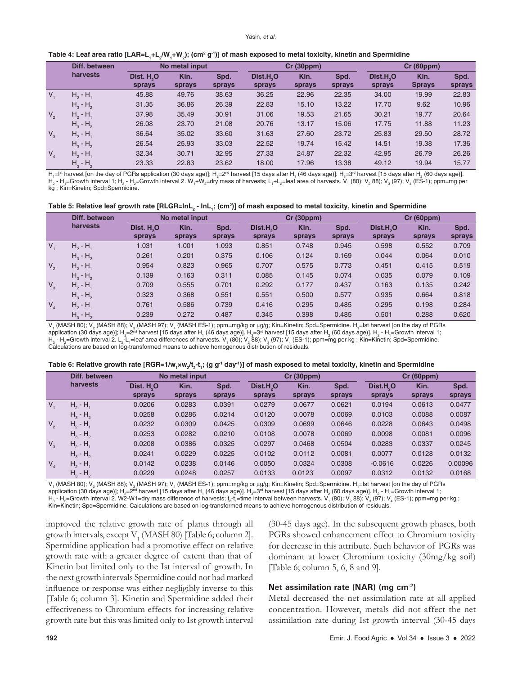|         | Diff. between | No metal input                   |                |                | Cr(30ppm)                       |                |                | Cr(60ppm)                       |                       |                |
|---------|---------------|----------------------------------|----------------|----------------|---------------------------------|----------------|----------------|---------------------------------|-----------------------|----------------|
|         | harvests      | Dist. H <sub>2</sub> O<br>sprays | Kin.<br>sprays | Spd.<br>sprays | Dist.H <sub>2</sub> O<br>sprays | Kin.<br>sprays | Spd.<br>sprays | Dist.H <sub>.</sub> O<br>sprays | Kin.<br><b>Sprays</b> | Spd.<br>sprays |
| $V_{1}$ | $H_2 - H_1$   | 45.88                            | 49.76          | 38.63          | 36.25                           | 22.96          | 22.35          | 34.00                           | 19.99                 | 22.83          |
|         | $H_3 - H_2$   | 31.35                            | 36.86          | 26.39          | 22.83                           | 15.10          | 13.22          | 17.70                           | 9.62                  | 10.96          |
| $V_{2}$ | $H_2 - H_3$   | 37.98                            | 35.49          | 30.91          | 31.06                           | 19.53          | 21.65          | 30.21                           | 19.77                 | 20.64          |
|         | $H_3 - H_2$   | 26.08                            | 23.70          | 21.08          | 20.76                           | 13.17          | 15.06          | 17.75                           | 11.88                 | 11.23          |
| $V_{3}$ | $H_2 - H_1$   | 36.64                            | 35.02          | 33.60          | 31.63                           | 27.60          | 23.72          | 25.83                           | 29.50                 | 28.72          |
|         | $H_2 - H_2$   | 26.54                            | 25.93          | 33.03          | 22.52                           | 19.74          | 15.42          | 14.51                           | 19.38                 | 17.36          |
| $V_{4}$ | $H_2 - H_1$   | 32.34                            | 30.71          | 32.95          | 27.33                           | 24.87          | 22.32          | 42.95                           | 26.79                 | 26.26          |
|         | $H_3 - H_2$   | 23.33                            | 22.83          | 23.62          | 18.00                           | 17.96          | 13.38          | 49.12                           | 19.94                 | 15.77          |

H,=Iª harvest [on the day of PGRs application (30 days age)]; H<sub>2</sub>=2ª harvest [15 days after H, (46 days age)]. H<sub>3</sub>=3ª harvest [15 days after H<sub>2</sub> (60 days age)]. H $_2$  - H $_{\rm i}$ =Growth interval 1; H $_{\rm 3}$  - H $_{\rm z}$ =Growth interval 2. W $_{\rm i}$ +W $_{\rm z}$ =dry mass of harvests; L $_{\rm i}$ +L $_{\rm z}$ =leaf area of harvests. V $_{\rm i}$  (80); V $_{\rm 2}$  88); V $_{\rm 3}$  (97); V $_{\rm 4}$  (ES-1); kg ; Kin=Kinetin; Spd=Spermidine.

|         | Diff. between | No metal input         |        |        | Cr(30ppm)             |        |        | Cr(60ppm)             |        |        |
|---------|---------------|------------------------|--------|--------|-----------------------|--------|--------|-----------------------|--------|--------|
|         | harvests      | Dist. H <sub>2</sub> O | Kin.   | Spd.   | Dist.H <sub>2</sub> O | Kin.   | Spd.   | Dist.H <sub>2</sub> O | Kin.   | Spd.   |
|         |               | sprays                 | sprays | sprays | sprays                | sprays | sprays | sprays                | sprays | sprays |
| $V_{1}$ | $H_2 - H_1$   | 1.031                  | 1.001  | 1.093  | 0.851                 | 0.748  | 0.945  | 0.598                 | 0.552  | 0.709  |
|         | $H_3 - H_2$   | 0.261                  | 0.201  | 0.375  | 0.106                 | 0.124  | 0.169  | 0.044                 | 0.064  | 0.010  |
| $V_{2}$ | $H_2 - H_1$   | 0.954                  | 0.823  | 0.965  | 0.707                 | 0.575  | 0.773  | 0.451                 | 0.415  | 0.519  |
|         | $H_3 - H_2$   | 0.139                  | 0.163  | 0.311  | 0.085                 | 0.145  | 0.074  | 0.035                 | 0.079  | 0.109  |
| $V_{3}$ | $H_2 - H_1$   | 0.709                  | 0.555  | 0.701  | 0.292                 | 0.177  | 0.437  | 0.163                 | 0.135  | 0.242  |
|         | $H_3 - H_2$   | 0.323                  | 0.368  | 0.551  | 0.551                 | 0.500  | 0.577  | 0.935                 | 0.664  | 0.818  |
| $V_{4}$ | $H_2 - H_1$   | 0.761                  | 0.586  | 0.739  | 0.416                 | 0.295  | 0.485  | 0.295                 | 0.198  | 0.284  |
|         | $H_3 - H_2$   | 0.239                  | 0.272  | 0.487  | 0.345                 | 0.398  | 0.485  | 0.501                 | 0.288  | 0.620  |

V, (MASH 80); V<sub>2</sub> (MASH 88); V<sub>3</sub> (MASH 97); V<sub>4</sub> (MASH ES-1); ppm=mg/kg or µg/g; Kin=Kinetin; Spd=Spermidine. H<sub>1</sub>=Ist harvest [on the day of PGRs application (30 days age)]; H<sub>2</sub>=2<sup>nd</sup> harvest [15 days after H<sub>1</sub> (46 days age)]. H<sub>3</sub>=3<sup>rd</sup> harvest [15 days after H<sub>2</sub> (60 days age)]. H<sub>2</sub> - H<sub>1</sub>=Growth interval 1; H<sub>3</sub> - H<sub>2</sub>=Growth interval 2. L<sub>2</sub>-L<sub>1</sub>=leaf area differences of harvests. V<sub>1</sub> (80); V<sub>2</sub> 88); V<sub>3</sub> (97); V<sub>4</sub> (ES-1); ppm=mg per kg ; Kin=Kinetin; Spd=Spermidine. Calculations are based on log-transformed means to achieve homogenous distribution of residuals.

| Table 6: Relative growth rate [RGR=1/w <sub>1</sub> xw <sub>2</sub> /t <sub>2</sub> -t <sub>1</sub> ; (g g <sup>-1</sup> day <sup>-1</sup> )] of mash exposed to metal toxicity, kinetin and Spermidine |  |  |
|---------------------------------------------------------------------------------------------------------------------------------------------------------------------------------------------------------|--|--|
|---------------------------------------------------------------------------------------------------------------------------------------------------------------------------------------------------------|--|--|

|         | Diff. between |                        | No metal input |        |                       | Cr(30ppm) |        |                       | <b>Cr (60ppm)</b> |         |  |
|---------|---------------|------------------------|----------------|--------|-----------------------|-----------|--------|-----------------------|-------------------|---------|--|
|         | harvests      | Dist. H <sub>2</sub> O | Kin.           | Spd.   | Dist.H <sub>2</sub> O | Kin.      | Spd.   | Dist.H <sub>2</sub> O | Kin.              | Spd.    |  |
|         |               | sprays                 | sprays         | sprays | sprays                | sprays    | sprays | sprays                | sprays            | sprays  |  |
| $V_{1}$ | $H_2 - H_1$   | 0.0206                 | 0.0283         | 0.0391 | 0.0279                | 0.0677    | 0.0621 | 0.0194                | 0.0613            | 0.0477  |  |
|         | $H_3 - H_2$   | 0.0258                 | 0.0286         | 0.0214 | 0.0120                | 0.0078    | 0.0069 | 0.0103                | 0.0088            | 0.0087  |  |
| $V_{2}$ | $H_2 - H_1$   | 0.0232                 | 0.0309         | 0.0425 | 0.0309                | 0.0699    | 0.0646 | 0.0228                | 0.0643            | 0.0498  |  |
|         | $H_3 - H_2$   | 0.0253                 | 0.0282         | 0.0210 | 0.0108                | 0.0078    | 0.0069 | 0.0098                | 0.0081            | 0.0096  |  |
| $V_{3}$ | $H_2 - H_1$   | 0.0208                 | 0.0386         | 0.0325 | 0.0297                | 0.0468    | 0.0504 | 0.0283                | 0.0337            | 0.0245  |  |
|         | $H_3 - H_2$   | 0.0241                 | 0.0229         | 0.0225 | 0.0102                | 0.0112    | 0.0081 | 0.0077                | 0.0128            | 0.0132  |  |
| $V_{4}$ | $H_2 - H_1$   | 0.0142                 | 0.0238         | 0.0146 | 0.0050                | 0.0324    | 0.0308 | $-0.0616$             | 0.0226            | 0.00096 |  |
|         | $H_3 - H_2$   | 0.0229                 | 0.0248         | 0.0257 | 0.0133                | 0.0123    | 0.0097 | 0.0312                | 0.0132            | 0.0168  |  |

V, (MASH 80); V<sub>2</sub> (MASH 88); V<sub>3</sub> (MASH 97); V<sub>4</sub> (MASH ES-1); ppm=mg/kg or µg/g; Kin=Kinetin; Spd=Spermidine. H<sub>1</sub>=Ist harvest [on the day of PGRs application (30 days age)]; H $_2$ =2<sup>nd</sup> harvest [15 days after H<sub>1</sub> (46 days age)]. H $_{3}$ =3<sup>rd</sup> harvest [15 days after H $_2$  (60 days age)]. H $_2$  - H<sub>1</sub>=Growth interval 1;

H<sub>3</sub> - H<sub>2</sub>=Growth interval 2. W2-W1=dry mass difference of harvests; t<sub>2</sub>-t<sub>i</sub>=time interval between harvests. V<sub>1</sub> (80); V<sub>2</sub> 88); V<sub>3</sub> (97); V<sub>4</sub> (ES-1); ppm=mg per kg ; Kin=Kinetin; Spd=Spermidine. Calculations are based on log-transformed means to achieve homogenous distribution of residuals.

improved the relative growth rate of plants through all growth intervals, except  $\mathrm{V}_1$  (MASH 80) [Table 6; column 2]. Spermidine application had a promotive effect on relative growth rate with a greater degree of extent than that of Kinetin but limited only to the Ist interval of growth. In the next growth intervals Spermidine could not had marked influence or response was either negligibly inverse to this [Table 6; column 3]. Kinetin and Spermidine added their effectiveness to Chromium effects for increasing relative growth rate but this was limited only to Ist growth interval

(30-45 days age). In the subsequent growth phases, both PGRs showed enhancement effect to Chromium toxicity for decrease in this attribute. Such behavior of PGRs was dominant at lower Chromium toxicity (30mg/kg soil) [Table 6; column 5, 6, 8 and 9].

#### **Net assimilation rate (NAR) (mg cm-2)**

Metal decreased the net assimilation rate at all applied concentration. However, metals did not affect the net assimilation rate during Ist growth interval (30-45 days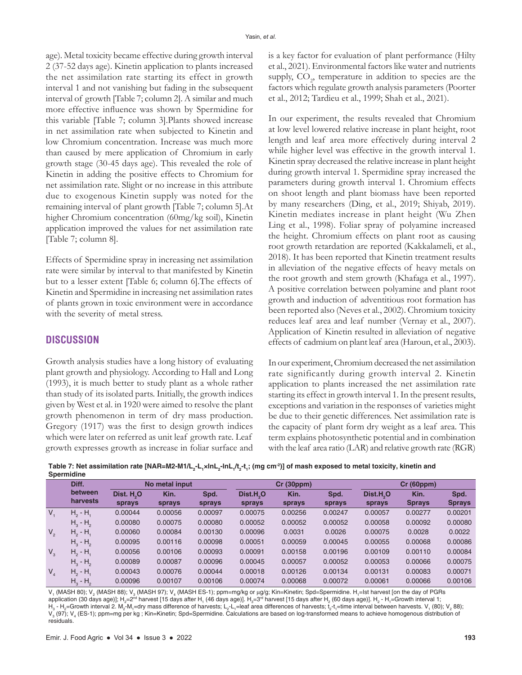age). Metal toxicity became effective during growth interval 2 (37-52 days age). Kinetin application to plants increased the net assimilation rate starting its effect in growth interval 1 and not vanishing but fading in the subsequent interval of growth [Table 7; column 2]. A similar and much more effective influence was shown by Spermidine for this variable [Table 7; column 3].Plants showed increase in net assimilation rate when subjected to Kinetin and low Chromium concentration. Increase was much more than caused by mere application of Chromium in early growth stage (30-45 days age). This revealed the role of Kinetin in adding the positive effects to Chromium for net assimilation rate. Slight or no increase in this attribute due to exogenous Kinetin supply was noted for the remaining interval of plant growth [Table 7; column 5].At higher Chromium concentration (60mg/kg soil), Kinetin application improved the values for net assimilation rate [Table 7; column 8].

Effects of Spermidine spray in increasing net assimilation rate were similar by interval to that manifested by Kinetin but to a lesser extent [Table 6; column 6].The effects of Kinetin and Spermidine in increasing net assimilation rates of plants grown in toxic environment were in accordance with the severity of metal stress.

## **DISCUSSION**

Growth analysis studies have a long history of evaluating plant growth and physiology. According to Hall and Long (1993), it is much better to study plant as a whole rather than study of its isolated parts. Initially, the growth indices given by West et al. in 1920 were aimed to resolve the plant growth phenomenon in term of dry mass production. Gregory (1917) was the first to design growth indices which were later on referred as unit leaf growth rate. Leaf growth expresses growth as increase in foliar surface and is a key factor for evaluation of plant performance (Hilty et al., 2021). Environmental factors like water and nutrients supply,  $CO<sub>2</sub>$ , temperature in addition to species are the factors which regulate growth analysis parameters (Poorter et al., 2012; Tardieu et al., 1999; Shah et al., 2021).

In our experiment, the results revealed that Chromium at low level lowered relative increase in plant height, root length and leaf area more effectively during interval 2 while higher level was effective in the growth interval 1. Kinetin spray decreased the relative increase in plant height during growth interval 1. Spermidine spray increased the parameters during growth interval 1. Chromium effects on shoot length and plant biomass have been reported by many researchers (Ding, et al., 2019; Shiyab, 2019). Kinetin mediates increase in plant height (Wu Zhen Ling et al., 1998). Foliar spray of polyamine increased the height. Chromium effects on plant root as causing root growth retardation are reported (Kakkalameli, et al., 2018). It has been reported that Kinetin treatment results in alleviation of the negative effects of heavy metals on the root growth and stem growth (Khafaga et al., 1997). A positive correlation between polyamine and plant root growth and induction of adventitious root formation has been reported also (Neves et al., 2002). Chromium toxicity reduces leaf area and leaf number (Vernay et al., 2007). Application of Kinetin resulted in alleviation of negative effects of cadmium on plant leaf area (Haroun, et al., 2003).

In our experiment, Chromium decreased the net assimilation rate significantly during growth interval 2. Kinetin application to plants increased the net assimilation rate starting its effect in growth interval 1. In the present results, exceptions and variation in the responses of varieties might be due to their genetic differences. Net assimilation rate is the capacity of plant form dry weight as a leaf area. This term explains photosynthetic potential and in combination with the leaf area ratio (LAR) and relative growth rate (RGR)

<code>Table</code> 7: Net assimilation rate [NAR=M2-M1/L<sub>2</sub>-L<sub>1</sub>×InL<sub>2</sub>-InL<sub>1</sub>/t<sub>2</sub>-t<sub>1</sub>; (mg cm²)] of mash exposed to metal toxicity, kinetin and **Spermidine**

|             | ----------          |                                  |                |                |                                 |                |                |                                 |                       |                       |  |  |  |
|-------------|---------------------|----------------------------------|----------------|----------------|---------------------------------|----------------|----------------|---------------------------------|-----------------------|-----------------------|--|--|--|
|             | Diff.               |                                  | No metal input |                |                                 | Cr(30ppm)      |                | Cr(60ppm)                       |                       |                       |  |  |  |
|             | between<br>harvests | Dist. H <sub>2</sub> O<br>sprays | Kin.<br>sprays | Spd.<br>sprays | Dist.H <sub>2</sub> O<br>sprays | Kin.<br>sprays | Spd.<br>sprays | Dist.H <sub>2</sub> O<br>sprays | Kin.<br><b>Sprays</b> | Spd.<br><b>Sprays</b> |  |  |  |
| $V_{1}$     | $H_2 - H_1$         | 0.00044                          | 0.00056        | 0.00097        | 0.00075                         | 0.00256        | 0.00247        | 0.00057                         | 0.00277               | 0.00201               |  |  |  |
|             | $H_3 - H_2$         | 0.00080                          | 0.00075        | 0.00080        | 0.00052                         | 0.00052        | 0.00052        | 0.00058                         | 0.00092               | 0.00080               |  |  |  |
| $V_{2}$     | $H_2 - H_1$         | 0.00060                          | 0.00084        | 0.00130        | 0.00096                         | 0.0031         | 0.0026         | 0.00075                         | 0.0028                | 0.0022                |  |  |  |
|             | $H3 - H2$           | 0.00095                          | 0.00116        | 0.00098        | 0.00051                         | 0.00059        | 0.00045        | 0.00055                         | 0.00068               | 0.00086               |  |  |  |
| $V_{3}$     | $H_2 - H_1$         | 0.00056                          | 0.00106        | 0.00093        | 0.00091                         | 0.00158        | 0.00196        | 0.00109                         | 0.00110               | 0.00084               |  |  |  |
|             | $H_3 - H_2$         | 0.00089                          | 0.00087        | 0.00096        | 0.00045                         | 0.00057        | 0.00052        | 0.00053                         | 0.00066               | 0.00075               |  |  |  |
| $V_{\rm A}$ | $H_2 - H_1$         | 0.00043                          | 0.00076        | 0.00044        | 0.00018                         | 0.00126        | 0.00134        | 0.00131                         | 0.00083               | 0.00071               |  |  |  |
|             | $H_3 - H_2$         | 0.00096                          | 0.00107        | 0.00106        | 0.00074                         | 0.00068        | 0.00072        | 0.00061                         | 0.00066               | 0.00106               |  |  |  |

V, (MASH 80); V<sub>2</sub> (MASH 88); V<sub>3</sub> (MASH 97); V<sub>4</sub> (MASH ES-1); ppm=mg/kg or µg/g; Kin=Kinetin; Spd=Spermidine. H<sub>1</sub>=Ist harvest [on the day of PGRs application (30 days age)]; H $_2$ =2<sup>nd</sup> harvest [15 days after H<sub>1</sub> (46 days age)]. H $_3$ =3<sup>rd</sup> harvest [15 days after H $_2$  (60 days age)]. H $_2$  - H<sub>1</sub>=Growth interval 1; H $_{3}$  - H $_{2}$ =Growth interval 2. M $_{2}$ -M $_{1}$ =dry mass difference of harvests; L $_{2}$ -L $_{1}$ =leaf area differences of harvests;  $\rm{t}_{2}$ -t $_{1}$ =time interval between harvests. V $_{1}$  (80); V $_{2}$  88); V $_{3}$  (97); V $_{4}$  (ES-1); ppm=mg per kg ; Kin=Kinetin; Spd=Spermidine. Calculations are based on log-transformed means to achieve homogenous distribution of residuals.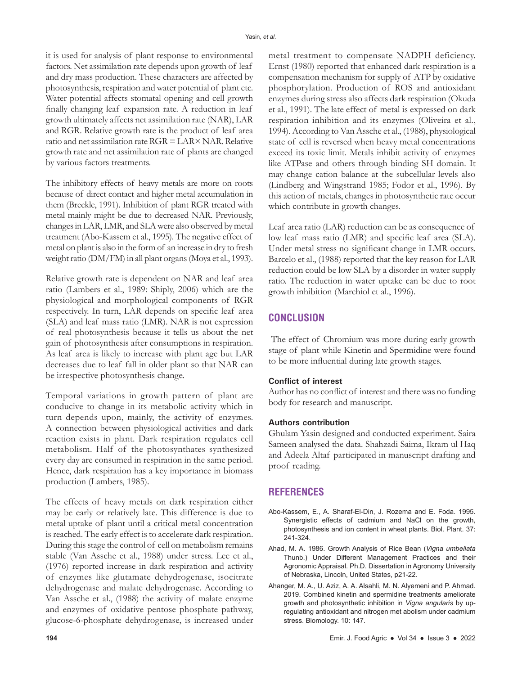it is used for analysis of plant response to environmental factors. Net assimilation rate depends upon growth of leaf and dry mass production. These characters are affected by photosynthesis, respiration and water potential of plant etc. Water potential affects stomatal opening and cell growth finally changing leaf expansion rate. A reduction in leaf growth ultimately affects net assimilation rate (NAR), LAR and RGR. Relative growth rate is the product of leaf area ratio and net assimilation rate RGR = LAR× NAR. Relative growth rate and net assimilation rate of plants are changed by various factors treatments.

The inhibitory effects of heavy metals are more on roots because of direct contact and higher metal accumulation in them (Breckle, 1991). Inhibition of plant RGR treated with metal mainly might be due to decreased NAR. Previously, changes in LAR, LMR, and SLA were also observed by metal treatment (Abo-Kassem et al., 1995). The negative effect of metal on plant is also in the form of an increase in dry to fresh weight ratio (DM/FM) in all plant organs (Moya et al., 1993).

Relative growth rate is dependent on NAR and leaf area ratio (Lambers et al., 1989: Shiply, 2006) which are the physiological and morphological components of RGR respectively. In turn, LAR depends on specific leaf area (SLA) and leaf mass ratio (LMR). NAR is not expression of real photosynthesis because it tells us about the net gain of photosynthesis after consumptions in respiration. As leaf area is likely to increase with plant age but LAR decreases due to leaf fall in older plant so that NAR can be irrespective photosynthesis change.

Temporal variations in growth pattern of plant are conducive to change in its metabolic activity which in turn depends upon, mainly, the activity of enzymes. A connection between physiological activities and dark reaction exists in plant. Dark respiration regulates cell metabolism. Half of the photosynthates synthesized every day are consumed in respiration in the same period. Hence, dark respiration has a key importance in biomass production (Lambers, 1985).

The effects of heavy metals on dark respiration either may be early or relatively late. This difference is due to metal uptake of plant until a critical metal concentration is reached. The early effect is to accelerate dark respiration. During this stage the control of cell on metabolism remains stable (Van Assche et al., 1988) under stress. Lee et al., (1976) reported increase in dark respiration and activity of enzymes like glutamate dehydrogenase, isocitrate dehydrogenase and malate dehydrogenase. According to Van Assche et al., (1988) the activity of malate enzyme and enzymes of oxidative pentose phosphate pathway, glucose-6-phosphate dehydrogenase, is increased under

metal treatment to compensate NADPH deficiency. Ernst (1980) reported that enhanced dark respiration is a compensation mechanism for supply of ATP by oxidative phosphorylation. Production of ROS and antioxidant enzymes during stress also affects dark respiration (Okuda et al., 1991). The late effect of metal is expressed on dark respiration inhibition and its enzymes (Oliveira et al., 1994). According to Van Assche et al., (1988), physiological state of cell is reversed when heavy metal concentrations exceed its toxic limit. Metals inhibit activity of enzymes like ATPase and others through binding SH domain. It may change cation balance at the subcellular levels also (Lindberg and Wingstrand 1985; Fodor et al., 1996). By this action of metals, changes in photosynthetic rate occur which contribute in growth changes.

Leaf area ratio (LAR) reduction can be as consequence of low leaf mass ratio (LMR) and specific leaf area (SLA). Under metal stress no significant change in LMR occurs. Barcelo et al., (1988) reported that the key reason for LAR reduction could be low SLA by a disorder in water supply ratio. The reduction in water uptake can be due to root growth inhibition (Marchiol et al., 1996).

# **CONCLUSION**

The effect of Chromium was more during early growth stage of plant while Kinetin and Spermidine were found to be more influential during late growth stages.

## **Conflict of interest**

Author has no conflict of interest and there was no funding body for research and manuscript.

### **Authors contribution**

Ghulam Yasin designed and conducted experiment. Saira Sameen analysed the data. Shahzadi Saima, Ikram ul Haq and Adeela Altaf participated in manuscript drafting and proof reading.

# **REFERENCES**

- Abo-Kassem, E., A. Sharaf-El-Din, J. Rozema and E. Foda. 1995. Synergistic effects of cadmium and NaCl on the growth, photosynthesis and ion content in wheat plants. Biol. Plant. 37: 241-324.
- Ahad, M. A. 1986. Growth Analysis of Rice Bean (*Vigna umbellata* Thunb.) Under Different Management Practices and their Agronomic Appraisal. Ph.D. Dissertation in Agronomy University of Nebraska, Lincoln, United States, p21-22.
- Ahanger, M. A., U. Aziz, A. A. Alsahli, M. N. Alyemeni and P. Ahmad. 2019. Combined kinetin and spermidine treatments ameliorate growth and photosynthetic inhibition in *Vigna angularis* by upregulating antioxidant and nitrogen met abolism under cadmium stress. Biomology. 10: 147.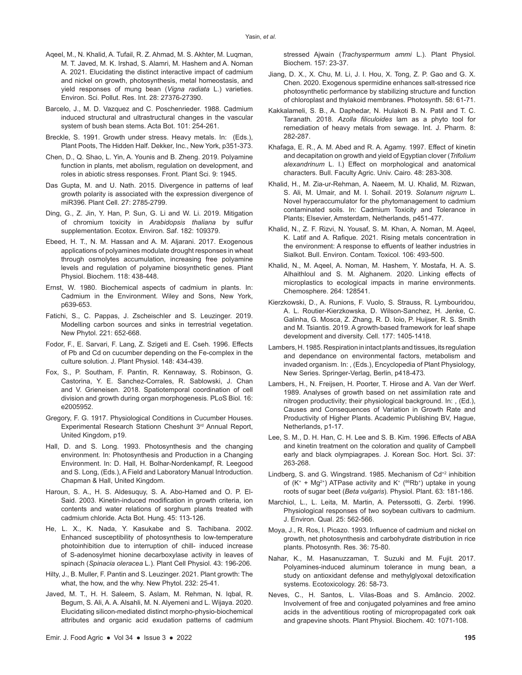- Aqeel, M., N. Khalid, A. Tufail, R. Z. Ahmad, M. S. Akhter, M. Luqman, M. T. Javed, M. K. Irshad, S. Alamri, M. Hashem and A. Noman A. 2021. Elucidating the distinct interactive impact of cadmium and nickel on growth, photosynthesis, metal homeostasis, and yield responses of mung bean (*Vigna radiata* L.) varieties. Environ. Sci. Pollut. Res. Int. 28: 27376-27390.
- Barcelo, J., M. D. Vazquez and C. Poschenrieder. 1988. Cadmium induced structural and ultrastructural changes in the vascular system of bush bean stems. Acta Bot. 101: 254-261.
- Breckle, S. 1991. Growth under stress. Heavy metals. In: (Eds.), Plant Poots, The Hidden Half. Dekker, Inc., New York, p351-373.
- Chen, D., Q. Shao, L. Yin, A. Younis and B. Zheng. 2019. Polyamine function in plants, met abolism, regulation on development, and roles in abiotic stress responses. Front. Plant Sci. 9: 1945.
- Das Gupta, M. and U. Nath. 2015. Divergence in patterns of leaf growth polarity is associated with the expression divergence of miR396. Plant Cell. 27: 2785-2799.
- Ding, G., Z. Jin, Y. Han, P. Sun, G. Li and W. Li. 2019. Mitigation of chromium toxicity in *Arabidopsis thaliana* by sulfur supplementation. Ecotox. Environ. Saf. 182: 109379.
- Ebeed, H. T., N. M. Hassan and A. M. Aljarani. 2017. Exogenous applications of polyamines modulate drought responses in wheat through osmolytes accumulation, increasing free polyamine levels and regulation of polyamine biosynthetic genes. Plant Physiol. Biochem. 118: 438-448.
- Ernst, W. 1980. Biochemical aspects of cadmium in plants. In: Cadmium in the Environment. Wiley and Sons, New York, p639-653.
- Fatichi, S., C. Pappas, J. Zscheischler and S. Leuzinger. 2019. Modelling carbon sources and sinks in terrestrial vegetation. New Phytol. 221: 652-668.
- Fodor, F., E. Sarvari, F. Lang, Z. Szigeti and E. Cseh. 1996. Effects of Pb and Cd on cucumber depending on the Fe-complex in the culture solution. J. Plant Physiol. 148: 434-439.
- Fox, S., P. Southam, F. Pantin, R. Kennaway, S. Robinson, G. Castorina, Y. E. Sanchez-Corrales, R. Sablowski, J. Chan and V. Grieneisen. 2018. Spatiotemporal coordination of cell division and growth during organ morphogenesis. PLoS Biol. 16: e2005952.
- Gregory, F. G. 1917. Physiological Conditions in Cucumber Houses. Experimental Research Stationn Cheshunt 3rd Annual Report, United Kingdom, p19.
- Hall, D. and S. Long. 1993. Photosynthesis and the changing environment. In: Photosynthesis and Production in a Changing Environment. In: D. Hall, H. Bolhar-Nordenkampf, R. Leegood and S. Long, (Eds.), A Field and Laboratory Manual Introduction. Chapman & Hall, United Kingdom.
- Haroun, S. A., H. S. Aldesuquy, S. A. Abo-Hamed and O. P. El-Said. 2003. Kinetin-induced modification in growth criteria, ion contents and water relations of sorghum plants treated with cadmium chloride. Acta Bot. Hung. 45: 113-126.
- He, L. X., K. Nada, Y. Kasukabe and S. Tachibana. 2002. Enhanced susceptibility of photosynthesis to low-temperature photoinhibition due to interruption of chill- induced increase of S-adenosylmet hionine decarboxylase activity in leaves of spinach (*Spinacia oleracea* L.). Plant Cell Physiol. 43: 196-206.
- Hilty, J., B. Muller, F. Pantin and S. Leuzinger. 2021. Plant growth: The what, the how, and the why. New Phytol. 232: 25-41.
- Javed, M. T., H. H. Saleem, S. Aslam, M. Rehman, N. Iqbal, R. Begum, S. Ali, A. A. Alsahli, M. N. Alyemeni and L. Wijaya. 2020. Elucidating silicon-mediated distinct morpho-physio-biochemical attributes and organic acid exudation patterns of cadmium

stressed Ajwain (*Trachyspermum ammi* L.). Plant Physiol. Biochem. 157: 23-37.

- Jiang, D. X., X. Chu, M. Li, J. I. Hou, X. Tong, Z. P. Gao and G. X. Chen. 2020. Exogenous spermidine enhances salt-stressed rice photosynthetic performance by stabilizing structure and function of chloroplast and thylakoid membranes. Photosynth. 58: 61-71.
- Kakkalameli, S. B., A. Daphedar, N. Hulakoti B. N. Patil and T. C. Taranath. 2018. *Azolla filiculoides* lam as a phyto tool for remediation of heavy metals from sewage. Int. J. Pharm. 8: 282-287.
- Khafaga, E. R., A. M. Abed and R. A. Agamy. 1997. Effect of kinetin and decapitation on growth and yield of Egyptian clover (*Trifolium alexandrinum* L. I.) Effect on morphological and anatomical characters. Bull. Faculty Agric. Univ. Cairo. 48: 283-308*.*
- Khalid, H., M. Zia-ur-Rehman, A. Naeem, M. U. Khalid, M. Rizwan, S. Ali, M. Umair, and M. I. Sohail. 2019. *Solanum nigrum* L. Novel hyperaccumulator for the phytomanagement to cadmium contaminated soils. In: Cadmium Toxicity and Tolerance in Plants; Elsevier, Amsterdam, Netherlands, p451-477.
- Khalid, N., Z. F. Rizvi, N. Yousaf, S. M. Khan, A. Noman, M. Aqeel, K. Latif and A. Rafique. 2021. Rising metals concentration in the environment: A response to effuents of leather industries in Sialkot. Bull. Environ. Contam. Toxicol. 106: 493-500.
- Khalid, N., M. Aqeel, A. Noman, M. Hashem, Y. Mostafa, H. A. S. Alhaithloul and S. M. Alghanem. 2020. Linking effects of microplastics to ecological impacts in marine environments. Chemosphere. 264: 128541.
- Kierzkowski, D., A. Runions, F. Vuolo, S. Strauss, R. Lymbouridou, A. L. Routier-Kierzkowska, D. Wilson-Sanchez, H. Jenke, C. Galinha, G. Mosca, Z. Zhang, R. D. Ioio, P. Huijser, R. S. Smith and M. Tsiantis. 2019. A growth-based framework for leaf shape development and diversity. Cell. 177: 1405-1418.
- Lambers, H. 1985. Respiration in intact plants and tissues, its regulation and dependance on environmental factors, metabolism and invaded organism. In: , (Eds.), Encyclopedia of Plant Physiology, New Series. Springer-Verlag, Berlin, p418-473.
- Lambers, H., N. Freijsen, H. Poorter, T. Hirose and A. Van der Werf. 1989. Analyses of growth based on net assimilation rate and nitrogen productivity; their physiological background. In: , (Ed.), Causes and Consequences of Variation in Growth Rate and Productivity of Higher Plants. Academic Publishing BV, Hague, Netherlands, p1-17.
- Lee, S. M., D. H. Han, C. H. Lee and S. B. Kim. 1996. Effects of ABA and kinetin treatment on the coloration and quality of Campbell early and black olympiagrapes. J. Korean Soc. Hort. Sci. 37: 263-268.
- Lindberg, S. and G. Wingstrand. 1985. Mechanism of Cd<sup>+2</sup> inhibition of  $(K^+ + Mg^{2+})$  ATPase activity and  $K^+$  ( $86Rb^+$ ) uptake in young roots of sugar beet (*Beta vulgaris*)*.* Physiol. Plant. 63: 181-186.
- Marchiol, L., L. Leita, M. Martin, A. Peterssotti, G. Zerbi. 1996. Physiological responses of two soybean cultivars to cadmium. J. Environ. Qual. 25: 562-566.
- Moya, J., R. Ros, I. Picazo. 1993. Influence of cadmium and nickel on growth, net photosynthesis and carbohydrate distribution in rice plants. Photosynth. Res. 36: 75-80.
- Nahar, K., M. Hasanuzzaman, T. Suzuki and M. Fujit. 2017. Polyamines-induced aluminum tolerance in mung bean, a study on antioxidant defense and methylglyoxal detoxification systems. Ecotoxicology. 26: 58-73.
- Neves, C., H. Santos, L. Vilas-Boas and S. Amâncio. 2002. Involvement of free and conjugated polyamines and free amino acids in the adventitious rooting of micropropagated cork oak and grapevine shoots. Plant Physiol. Biochem. 40: 1071-108.